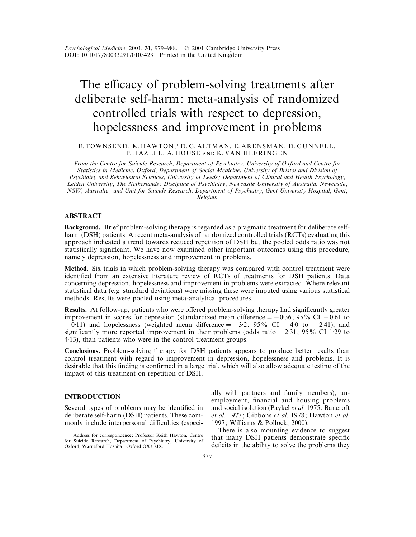*Psychological Medicine*, 2001, 31, 979–988. © 2001 Cambridge University Press DOI: 10.1017}S003329170105423 Printed in the United Kingdom

# The efficacy of problem-solving treatments after deliberate self-harm: meta-analysis of randomized controlled trials with respect to depression, hopelessness and improvement in problems

## E. TOWNSEND, K. HAWTON," D. G. ALTMAN, E. ARENSMAN, D. GUNNELL, P. HAZELL, A. HOUSE AND K. VAN HEERINGEN

*From the Centre for Suicide Research*, *Department of Psychiatry*, *University of Oxford and Centre for Statistics in Medicine*, *Oxford*, *Department of Social Medicine*, *University of Bristol and Division of Psychiatry and Behavioural Sciences*, *University of Leeds ; Department of Clinical and Health Psychology*, *Leiden University*, *The Netherlands ; Discipline of Psychiatry*, *Newcastle University of Australia*, *Newcastle*, *NSW*, *Australia ; and Unit for Suicide Research*, *Department of Psychiatry*, *Gent University Hospital*, *Gent*, *Belgium*

# **ABSTRACT**

**Background.** Brief problem-solving therapy is regarded as a pragmatic treatment for deliberate selfharm (DSH) patients. A recent meta-analysis of randomized controlled trials (RCTs) evaluating this approach indicated a trend towards reduced repetition of DSH but the pooled odds ratio was not statistically significant. We have now examined other important outcomes using this procedure, namely depression, hopelessness and improvement in problems.

**Method.** Six trials in which problem-solving therapy was compared with control treatment were identified from an extensive literature review of RCTs of treatments for DSH patients. Data concerning depression, hopelessness and improvement in problems were extracted. Where relevant statistical data (e.g. standard deviations) were missing these were imputed using various statistical methods. Results were pooled using meta-analytical procedures.

**Results.** At follow-up, patients who were offered problem-solving therapy had significantly greater improvement in scores for depression (standardized mean difference  $=$  –0.36; 95% CI –0.61 to  $-0.11$ ) and hopelessness (weighted mean difference =  $-3.2$ ; 95% CI  $-4.0$  to  $-2.41$ ), and significantly more reported improvement in their problems (odds ratio =  $2:31$ ; 95% CI 1:29 to 4.13), than patients who were in the control treatment groups.

**Conclusions.** Problem-solving therapy for DSH patients appears to produce better results than control treatment with regard to improvement in depression, hopelessness and problems. It is desirable that this finding is confirmed in a large trial, which will also allow adequate testing of the impact of this treatment on repetition of DSH.

## **INTRODUCTION**

Several types of problems may be identified in deliberate self-harm (DSH) patients. These commonly include interpersonal difficulties (especially with partners and family members), unemployment, financial and housing problems and social isolation (Paykel *et al*. 1975; Bancroft *et al*. 1977; Gibbons *et al*. 1978; Hawton *et al*. 1997; Williams & Pollock, 2000).

There is also mounting evidence to suggest that many DSH patients demonstrate specific deficits in the ability to solve the problems they

<sup>&</sup>lt;sup>1</sup> Address for correspondence: Professor Keith Hawton, Centre for Suicide Research, Department of Psychiatry, University of Oxford, Warneford Hospital, Oxford OX3 7JX.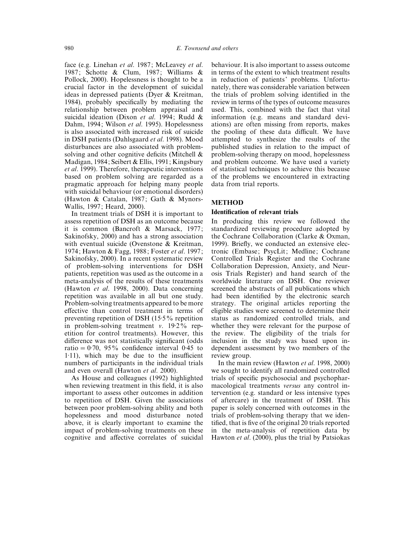face (e.g. Linehan *et al*. 1987; McLeavey *et al*. 1987; Schotte & Clum, 1987; Williams & Pollock, 2000). Hopelessness is thought to be a crucial factor in the development of suicidal ideas in depressed patients (Dyer & Kreitman, 1984), probably specifically by mediating the relationship between problem appraisal and suicidal ideation (Dixon *et al*. 1994; Rudd & Dahm, 1994; Wilson *et al*. 1995). Hopelessness is also associated with increased risk of suicide in DSH patients (Dahlsgaard *et al*. 1998). Mood disturbances are also associated with problemsolving and other cognitive deficits (Mitchell & Madigan, 1984; Seibert & Ellis, 1991; Kingsbury *et al*. 1999). Therefore, therapeutic interventions based on problem solving are regarded as a pragmatic approach for helping many people with suicidal behaviour (or emotional disorders) (Hawton & Catalan, 1987; Gath & Mynors-Wallis, 1997; Heard, 2000).

In treatment trials of DSH it is important to assess repetition of DSH as an outcome because it is common (Bancroft & Marsack, 1977; Sakinofsky, 2000) and has a strong association with eventual suicide (Ovenstone & Kreitman, 1974; Hawton & Fagg, 1988; Foster *et al*. 1997; Sakinofsky, 2000). In a recent systematic review of problem-solving interventions for DSH patients, repetition was used as the outcome in a meta-analysis of the results of these treatments (Hawton *et al*. 1998, 2000). Data concerning repetition was available in all but one study. Problem-solving treatments appeared to be more effective than control treatment in terms of preventing repetition of DSH  $(15.5\%$  repetition in problem-solving treatment  $v$ . 19 $\cdot$ 2% repetition for control treatments). However, this difference was not statistically significant (odds ratio = 0.70, 95% confidence interval 0.45 to  $1:11$ ), which may be due to the insufficient numbers of participants in the individual trials and even overall (Hawton *et al*. 2000).

As House and colleagues (1992) highlighted when reviewing treatment in this field, it is also important to assess other outcomes in addition to repetition of DSH. Given the associations between poor problem-solving ability and both hopelessness and mood disturbance noted above, it is clearly important to examine the impact of problem-solving treatments on these cognitive and affective correlates of suicidal

behaviour. It is also important to assess outcome in terms of the extent to which treatment results in reduction of patients' problems. Unfortunately, there was considerable variation between the trials of problem solving identified in the review in terms of the types of outcome measures used. This, combined with the fact that vital information (e.g. means and standard deviations) are often missing from reports, makes the pooling of these data difficult. We have attempted to synthesize the results of the published studies in relation to the impact of problem-solving therapy on mood, hopelessness and problem outcome. We have used a variety of statistical techniques to achieve this because of the problems we encountered in extracting data from trial reports.

## **METHOD**

#### **Identification of relevant trials**

In producing this review we followed the standardized reviewing procedure adopted by the Cochrane Collaboration (Clarke & Oxman, 1999). Briefly, we conducted an extensive electronic (Embase; PsycLit; Medline; Cochrane Controlled Trials Register and the Cochrane Collaboration Depression, Anxiety, and Neurosis Trials Register) and hand search of the worldwide literature on DSH. One reviewer screened the abstracts of all publications which had been identified by the electronic search strategy. The original articles reporting the eligible studies were screened to determine their status as randomized controlled trials, and whether they were relevant for the purpose of the review. The eligibility of the trials for inclusion in the study was based upon independent assessment by two members of the review group.

In the main review (Hawton *et al*. 1998, 2000) we sought to identify all randomized controlled trials of specific psychosocial and psychopharmacological treatments *versus* any control intervention (e.g. standard or less intensive types of aftercare) in the treatment of DSH. This paper is solely concerned with outcomes in the trials of problem-solving therapy that we identified, that is five of the original 20 trials reported in the meta-analysis of repetition data by Hawton *et al*. (2000), plus the trial by Patsiokas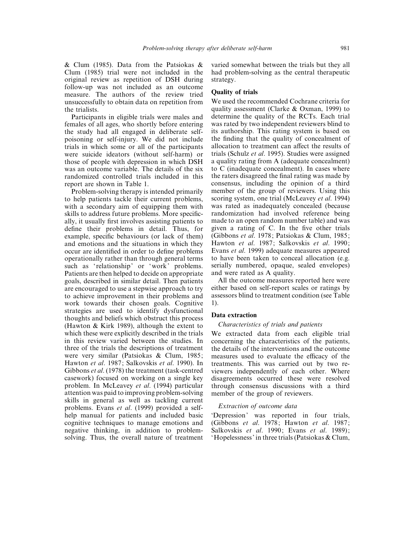& Clum (1985). Data from the Patsiokas & Clum (1985) trial were not included in the original review as repetition of DSH during follow-up was not included as an outcome measure. The authors of the review tried unsuccessfully to obtain data on repetition from the trialists.

Participants in eligible trials were males and females of all ages, who shortly before entering the study had all engaged in deliberate selfpoisoning or self-injury. We did not include trials in which some or all of the participants were suicide ideators (without self-harm) or those of people with depression in which DSH was an outcome variable. The details of the six randomized controlled trials included in this report are shown in Table 1.

Problem-solving therapy is intended primarily to help patients tackle their current problems, with a secondary aim of equipping them with skills to address future problems. More specifically, it usually first involves assisting patients to define their problems in detail. Thus, for example, specific behaviours (or lack of them) and emotions and the situations in which they occur are identified in order to define problems operationally rather than through general terms such as 'relationship' or 'work' problems. Patients are then helped to decide on appropriate goals, described in similar detail. Then patients are encouraged to use a stepwise approach to try to achieve improvement in their problems and work towards their chosen goals. Cognitive strategies are used to identify dysfunctional thoughts and beliefs which obstruct this process (Hawton & Kirk 1989), although the extent to which these were explicitly described in the trials in this review varied between the studies. In three of the trials the descriptions of treatment were very similar (Patsiokas & Clum, 1985; Hawton *et al*. 1987; Salkovskis *et al*. 1990). In Gibbons *et al*. (1978) the treatment (task-centred casework) focused on working on a single key problem. In McLeavey *et al*. (1994) particular attention was paid to improving problem-solving skills in general as well as tackling current problems. Evans *et al*. (1999) provided a selfhelp manual for patients and included basic cognitive techniques to manage emotions and negative thinking, in addition to problemsolving. Thus, the overall nature of treatment

varied somewhat between the trials but they all had problem-solving as the central therapeutic strategy.

## **Quality of trials**

We used the recommended Cochrane criteria for quality assessment (Clarke & Oxman, 1999) to determine the quality of the RCTs. Each trial was rated by two independent reviewers blind to its authorship. This rating system is based on the finding that the quality of concealment of allocation to treatment can affect the results of trials (Schulz *et al*. 1995). Studies were assigned a quality rating from A (adequate concealment) to C (inadequate concealment). In cases where the raters disagreed the final rating was made by consensus, including the opinion of a third member of the group of reviewers. Using this scoring system, one trial (McLeavey *et al*. 1994) was rated as inadequately concealed (because randomization had involved reference being made to an open random number table) and was given a rating of C. In the five other trials (Gibbons *et al*. 1978; Patsiokas & Clum, 1985; Hawton *et al*. 1987; Salkovskis *et al*. 1990; Evans *et al*. 1999) adequate measures appeared to have been taken to conceal allocation (e.g. serially numbered, opaque, sealed envelopes) and were rated as A quality.

All the outcome measures reported here were either based on self-report scales or ratings by assessors blind to treatment condition (see Table 1).

## **Data extraction**

#### *Characteristics of trials and patients*

We extracted data from each eligible trial concerning the characteristics of the patients, the details of the interventions and the outcome measures used to evaluate the efficacy of the treatments. This was carried out by two reviewers independently of each other. Where disagreements occurred these were resolved through consensus discussions with a third member of the group of reviewers.

#### *Extraction of outcome data*

'Depression' was reported in four trials, (Gibbons *et al*. 1978; Hawton *et al*. 1987; Salkovskis *et al*. 1990; Evans *et al*. 1989); 'Hopelessness' in three trials (Patsiokas & Clum,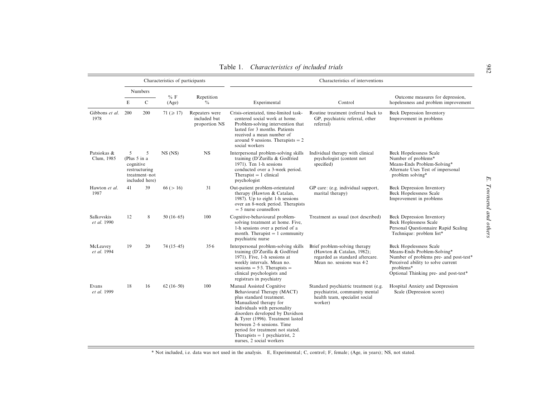|                           | Characteristics of participants |                                                       |                  |                                                 | Characteristics of interventions                                                                                                                                                                                                                                                                                                                       |                                                                                                                            |                                                                                                                                                                                                     |
|---------------------------|---------------------------------|-------------------------------------------------------|------------------|-------------------------------------------------|--------------------------------------------------------------------------------------------------------------------------------------------------------------------------------------------------------------------------------------------------------------------------------------------------------------------------------------------------------|----------------------------------------------------------------------------------------------------------------------------|-----------------------------------------------------------------------------------------------------------------------------------------------------------------------------------------------------|
|                           | Numbers                         |                                                       | % F              | Repetition                                      |                                                                                                                                                                                                                                                                                                                                                        |                                                                                                                            | Outcome measures for depression,                                                                                                                                                                    |
|                           | E                               | $\mathbf C$                                           | (Age)            | $\frac{0}{0}$                                   | Experimental                                                                                                                                                                                                                                                                                                                                           | Control                                                                                                                    | hopelessness and problem improvement                                                                                                                                                                |
| Gibbons et al.<br>1978    | 200                             | 200                                                   | 71 ( $\geq 17$ ) | Repeaters were<br>included but<br>proportion NS | Crisis-orientated, time-limited task-<br>centered social work at home.<br>Problem-solving intervention that<br>lasted for 3 months. Patients<br>received a mean number of<br>around 9 sessions. Therapists $= 2$<br>social workers                                                                                                                     | Routine treatment (referral back to<br>GP, psychiatric referral, other<br>referral)                                        | <b>Beck Depression Inventory</b><br>Improvement in problems                                                                                                                                         |
| Patsiokas &<br>Clum, 1985 | 5<br>(Plus 5 in a<br>cognitive  | 5<br>restructuring<br>treatment-not<br>included here) | $NS$ (NS)        | <b>NS</b>                                       | Interpersonal problem-solving skills<br>training (D'Zurilla & Godfried<br>1971). Ten 1-h sessions<br>conducted over a 3-week period.<br>Therapist $= 1$ clinical<br>psychologist                                                                                                                                                                       | Individual therapy with clinical<br>psychologist (content not<br>specified)                                                | <b>Beck Hopelessness Scale</b><br>Number of problems*<br>Means-Ends Problem-Solving*<br>Alternate Uses Test of impersonal<br>problem solving*                                                       |
| Hawton et al.<br>1987     | 41                              | 39                                                    | 66 (> 16)        | 31                                              | Out-patient problem-orientated<br>therapy (Hawton & Catalan,<br>1987). Up to eight 1-h sessions<br>over an 8-week period. Therapists<br>$=$ 5 nurse counsellors                                                                                                                                                                                        | GP care: (e.g. individual support,<br>marital therapy)                                                                     | <b>Beck Depression Inventory</b><br><b>Beck Hopelessness Scale</b><br>Improvement in problems                                                                                                       |
| Salkovskis<br>et al. 1990 | 12                              | 8                                                     | $50(16-65)$      | 100                                             | Cognitive-behavioural problem-<br>solving treatment at home. Five,<br>1-h sessions over a period of a<br>month. Therapist $= 1$ community<br>psychiatric nurse                                                                                                                                                                                         | Treatment as usual (not described)                                                                                         | Beck Depression Inventory<br><b>Beck Hoplessness Scale</b><br>Personal Questionnaire Rapid Scaling<br>Technique: problem list*                                                                      |
| McLeavey<br>et al. 1994   | 19                              | 20                                                    | $74(15-45)$      | 35.6                                            | Interpersonal problem-solving skills<br>training (D'Zurilla & Godfried<br>1971). Five, 1-h sessions at<br>weekly intervals. Mean no.<br>sessions = $5.3$ . Therapists =<br>clinical psychologists and<br>registrars in psychiatry                                                                                                                      | Brief problem-solving therapy<br>(Hawton & Catalan, 1982);<br>regarded as standard aftercare.<br>Mean no. sessions was 4.2 | <b>Beck Hopelessness Scale</b><br>Means-Ends Problem-Solving*<br>Number of problems pre- and post-test*<br>Perceived ability to solve current<br>problems*<br>Optional Thinking pre- and post-test* |
| Evans<br>et al. 1999      | 18                              | 16                                                    | $62(16-50)$      | 100                                             | Manual Assisted Cognitive<br>Behavioural Therapy (MACT)<br>plus standard treatment.<br>Manualized therapy for<br>individuals with personality<br>disorders developed by Davidson<br>& Tyrer (1996). Treatment lasted<br>between 2–6 sessions. Time<br>period for treatment not stated.<br>Therapists $= 1$ psychiatrist, 2<br>nurses, 2 social workers | Standard psychiatric treatment (e.g.<br>psychiatrist, community mental<br>health team, specialist social<br>worker)        | Hospital Anxiety and Depression<br>Scale (Depression score)                                                                                                                                         |

\* Not included, i.e. data was not used in the analysis. E, Experimental; C, control; F, female; (Age, in years); NS, not stated.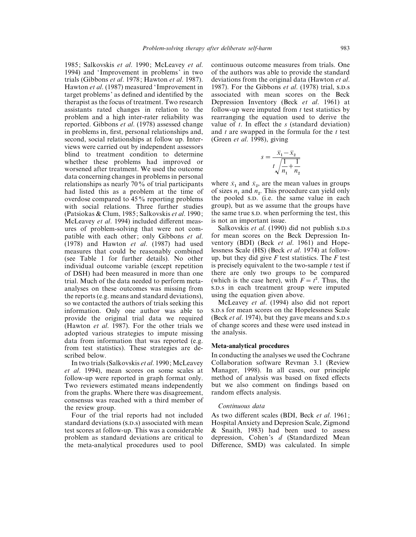1985; Salkovskis *et al*. 1990; McLeavey *et al*. 1994) and ' Improvement in problems' in two trials (Gibbons *et al*. 1978; Hawton *et al*. 1987). Hawton *et al*. (1987) measured ' Improvement in target problems' as defined and identified by the therapist as the focus of treatment. Two research assistants rated changes in relation to the problem and a high inter-rater reliability was reported. Gibbons *et al*. (1978) assessed change in problems in, first, personal relationships and, second, social relationships at follow up. Interviews were carried out by independent assessors blind to treatment condition to determine whether these problems had improved or worsened after treatment. We used the outcome data concerning changes in problems in personal relationships as nearly 70% of trial participants had listed this as a problem at the time of overdose compared to 45% reporting problems with social relations. Three further studies (Patsiokas & Clum, 1985; Salkovskis *et al*. 1990; McLeavey *et al*. 1994) included different measures of problem-solving that were not compatible with each other; only Gibbons *et al*. (1978) and Hawton *et al*. (1987) had used measures that could be reasonably combined (see Table 1 for further details). No other individual outcome variable (except repetition of DSH) had been measured in more than one trial. Much of the data needed to perform metaanalyses on these outcomes was missing from the reports (e.g. means and standard deviations), so we contacted the authors of trials seeking this information. Only one author was able to provide the original trial data we required (Hawton *et al*. 1987). For the other trials we adopted various strategies to impute missing data from information that was reported (e.g. from test statistics). These strategies are described below.

In two trials (Salkovskis *et al*. 1990; McLeavey *et al*. 1994), mean scores on some scales at follow-up were reported in graph format only. Two reviewers estimated means independently from the graphs. Where there was disagreement, consensus was reached with a third member of the review group.

Four of the trial reports had not included standard deviations (s.p.s) associated with mean test scores at follow-up. This was a considerable problem as standard deviations are critical to the meta-analytical procedures used to pool continuous outcome measures from trials. One of the authors was able to provide the standard deviations from the original data (Hawton *et al*. 1987). For the Gibbons  $et$   $al.$  (1978) trial, s.p.s associated with mean scores on the Beck Depression Inventory (Beck *et al*. 1961) at follow-up were imputed from *t* test statistics by rearranging the equation used to derive the value of *t*. In effect the *s* (standard deviation) and *t* are swapped in the formula for the *t* test (Green *et al*. 1998), giving

$$
s = \frac{\overline{x}_1 - \overline{x}_2}{t\sqrt{\frac{1}{n_1} + \frac{1}{n_2}}}
$$

where  $\bar{x}_1$  and  $\bar{x}_2$ , are the mean values in groups of sizes  $n_1$  and  $n_2$ . This procedure can yield only the pooled s.p. (i.e. the same value in each group), but as we assume that the groups have the same true s.D. when performing the test, this is not an important issue.

Salkovskis *et al.* (1990) did not publish s.p.s for mean scores on the Beck Depression Inventory (BDI) (Beck *et al*. 1961) and Hopelessness Scale (HS) (Beck *et al*. 1974) at followup, but they did give *F* test statistics. The *F* test is precisely equivalent to the two-sample *t* test if there are only two groups to be compared (which is the case here), with  $F = t^2$ . Thus, the s.p.s in each treatment group were imputed using the equation given above.

McLeavey *et al*. (1994) also did not report s.<sub>D.s</sub> for mean scores on the Hopelessness Scale (Beck *et al.* 1974), but they gave means and s.p.s of change scores and these were used instead in the analysis.

## **Meta-analytical procedures**

In conducting the analyses we used the Cochrane Collaboration software Revman 3.1 (Review Manager, 1998). In all cases, our principle method of analysis was based on fixed effects but we also comment on findings based on random effects analysis.

## *Continuous data*

As two different scales (BDI, Beck *et al*. 1961; Hospital Anxiety and Depresion Scale, Zigmond & Snaith, 1983) had been used to assess depression, Cohen's *d* (Standardized Mean Difference, SMD) was calculated. In simple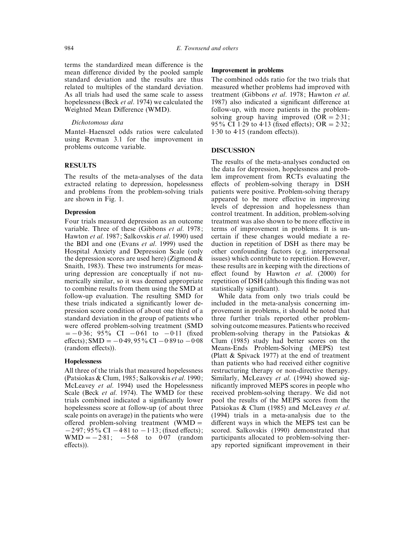terms the standardized mean difference is the mean difference divided by the pooled sample standard deviation and the results are thus related to multiples of the standard deviation. As all trials had used the same scale to assess hopelessness (Beck *et al*. 1974) we calculated the Weighted Mean Difference (WMD).

## *Dichotomous data*

Mantel–Haenszel odds ratios were calculated using Revman 3.1 for the improvement in problems outcome variable.

## **RESULTS**

The results of the meta-analyses of the data extracted relating to depression, hopelessness and problems from the problem-solving trials are shown in Fig. 1.

## **Depression**

Four trials measured depression as an outcome variable. Three of these (Gibbons *et al*. 1978; Hawton *et al*. 1987; Salkovskis *et al*. 1990) used the BDI and one (Evans *et al*. 1999) used the Hospital Anxiety and Depression Scale (only the depression scores are used here) (Zigmond  $\&$ Snaith, 1983). These two instruments for measuring depression are conceptually if not numerically similar, so it was deemed appropriate to combine results from them using the SMD at follow-up evaluation. The resulting SMD for these trials indicated a significantly lower depression score condition of about one third of a standard deviation in the group of patients who were offered problem-solving treatment (SMD  $=-0.36$ ; 95% CI  $-0.61$  to  $-0.11$  (fixed effects); SMD =  $-0.49, 95\%$  CI  $-0.89$  to  $-0.08$ (random effects)).

## **Hopelessness**

All three of the trials that measured hopelessness (Patsiokas & Clum, 1985; Salkovskis *et al*. 1990; McLeavey *et al*. 1994) used the Hopelessness Scale (Beck *et al*. 1974). The WMD for these trials combined indicated a significantly lower hopelessness score at follow-up (of about three scale points on average) in the patients who were offered problem-solving treatment (WMD $=$  $-2.97$ ; 95% CI  $-4.81$  to  $-1.13$ ; (fixed effects); WMD =  $-2.81$ ;  $-5.68$  to 0.07 (random effects)).

#### **Improvement in problems**

The combined odds ratio for the two trials that measured whether problems had improved with treatment (Gibbons *et al*. 1978; Hawton *et al*. 1987) also indicated a significant difference at follow-up, with more patients in the problemsolving group having improved  $(OR = 2.31)$ ; 95% CI 1.29 to 4.13 (fixed effects); OR = 2.32;  $1:30$  to  $4:15$  (random effects)).

#### **DISCUSSION**

The results of the meta-analyses conducted on the data for depression, hopelessness and problem improvement from RCTs evaluating the effects of problem-solving therapy in DSH patients were positive. Problem-solving therapy appeared to be more effective in improving levels of depression and hopelessness than control treatment. In addition, problem-solving treatment was also shown to be more effective in terms of improvement in problems. It is uncertain if these changes would mediate a reduction in repetition of DSH as there may be other confounding factors (e.g. interpersonal issues) which contribute to repetition. However, these results are in keeping with the directions of effect found by Hawton *et al*. (2000) for repetition of DSH (although this finding was not statistically significant).

While data from only two trials could be included in the meta-analysis concerning improvement in problems, it should be noted that three further trials reported other problemsolving outcome measures. Patients who received problem-solving therapy in the Patsiokas & Clum (1985) study had better scores on the Means-Ends Problem-Solving (MEPS) test (Platt & Spivack 1977) at the end of treatment than patients who had received either cognitive restructuring therapy or non-directive therapy. Similarly, McLeavey *et al*. (1994) showed significantly improved MEPS scores in people who received problem-solving therapy. We did not pool the results of the MEPS scores from the Patsiokas & Clum (1985) and McLeavey *et al*. (1994) trials in a meta-analysis due to the different ways in which the MEPS test can be scored. Salkovskis (1990) demonstrated that participants allocated to problem-solving therapy reported significant improvement in their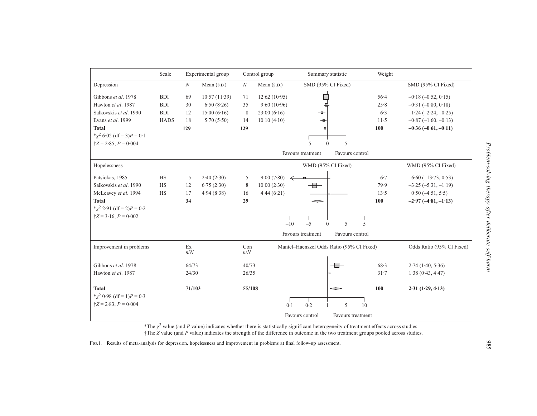| Depression<br>SMD (95% CI Fixed)<br>$\cal N$<br>Mean $(s.D.)$<br>$\boldsymbol{N}$<br>Mean(s.D.)<br>Gibbons et al. 1978<br>69<br>$56 - 4$<br><b>BDI</b><br>10.57(11.39)<br>12.62(10.95)<br>71<br>Hawton et al. 1987<br>25.8<br><b>BDI</b><br>30<br>6.50(8.26)<br>35<br>9.60(10.96)<br>Salkovskis et al. 1990<br><b>BDI</b><br>15.00(6.16)<br>8<br>6.3<br>12<br>23.00(6.16)<br>$-$<br>Evans et al. 1999<br><b>HADS</b><br>18<br>5.70(5.50)<br>14<br>10.10(4.10)<br>$11-5$<br>$-\Box$<br><b>Total</b><br>100<br>129<br>129<br>* $\chi^2$ 6.02 (df = 3)P = 0.1<br>$-5$<br>5<br>$\dagger Z = 2.85, P = 0.004$<br>$\Omega$<br>Favours control<br>Favours treatment<br>Hopelessness<br>WMD (95% CI Fixed)<br>Patsiokas, 1985<br><b>HS</b><br>5<br>2.40(2.30)<br>9.00(7.80)<br>$6-7$<br>5<br>$\leftarrow$<br>Salkovskis et al. 1990<br><b>HS</b><br>6.75(2.30)<br>8<br>10.00(2.30)<br>$\overline{\phantom{a}}$<br>79.9<br>12 | SMD (95% CI Fixed)<br>$-0.18$ ( $-0.52$ , $0.15$ )<br>$-0.31$ ( $-0.80$ , $0.18$ )<br>$-1.24$ ( $-2.24$ , $-0.25$ )<br>$-0.87$ ( $-1.60$ , $-0.13$ )<br>$-0.36$ ( $-0.61$ , $-0.11$ )<br>WMD (95% CI Fixed) |
|----------------------------------------------------------------------------------------------------------------------------------------------------------------------------------------------------------------------------------------------------------------------------------------------------------------------------------------------------------------------------------------------------------------------------------------------------------------------------------------------------------------------------------------------------------------------------------------------------------------------------------------------------------------------------------------------------------------------------------------------------------------------------------------------------------------------------------------------------------------------------------------------------------------------|-------------------------------------------------------------------------------------------------------------------------------------------------------------------------------------------------------------|
|                                                                                                                                                                                                                                                                                                                                                                                                                                                                                                                                                                                                                                                                                                                                                                                                                                                                                                                      |                                                                                                                                                                                                             |
|                                                                                                                                                                                                                                                                                                                                                                                                                                                                                                                                                                                                                                                                                                                                                                                                                                                                                                                      |                                                                                                                                                                                                             |
|                                                                                                                                                                                                                                                                                                                                                                                                                                                                                                                                                                                                                                                                                                                                                                                                                                                                                                                      |                                                                                                                                                                                                             |
|                                                                                                                                                                                                                                                                                                                                                                                                                                                                                                                                                                                                                                                                                                                                                                                                                                                                                                                      |                                                                                                                                                                                                             |
|                                                                                                                                                                                                                                                                                                                                                                                                                                                                                                                                                                                                                                                                                                                                                                                                                                                                                                                      |                                                                                                                                                                                                             |
|                                                                                                                                                                                                                                                                                                                                                                                                                                                                                                                                                                                                                                                                                                                                                                                                                                                                                                                      |                                                                                                                                                                                                             |
|                                                                                                                                                                                                                                                                                                                                                                                                                                                                                                                                                                                                                                                                                                                                                                                                                                                                                                                      |                                                                                                                                                                                                             |
|                                                                                                                                                                                                                                                                                                                                                                                                                                                                                                                                                                                                                                                                                                                                                                                                                                                                                                                      |                                                                                                                                                                                                             |
|                                                                                                                                                                                                                                                                                                                                                                                                                                                                                                                                                                                                                                                                                                                                                                                                                                                                                                                      |                                                                                                                                                                                                             |
|                                                                                                                                                                                                                                                                                                                                                                                                                                                                                                                                                                                                                                                                                                                                                                                                                                                                                                                      | $-6.60$ ( $-13.73$ , 0.53)                                                                                                                                                                                  |
|                                                                                                                                                                                                                                                                                                                                                                                                                                                                                                                                                                                                                                                                                                                                                                                                                                                                                                                      | $-3.25(-5.31,-1.19)$                                                                                                                                                                                        |
| HS<br>17<br>4.44(6.21)<br>McLeavey et al. 1994<br>4.94(8.38)<br>16<br>13.5                                                                                                                                                                                                                                                                                                                                                                                                                                                                                                                                                                                                                                                                                                                                                                                                                                           | $0.50(-4.51, 5.5)$                                                                                                                                                                                          |
| <b>Total</b><br>34<br>29<br>100<br>$\Leftarrow$                                                                                                                                                                                                                                                                                                                                                                                                                                                                                                                                                                                                                                                                                                                                                                                                                                                                      | $-2.97(-4.81,-1.13)$                                                                                                                                                                                        |
| * $\chi^2$ 2.91 (df = 2)P = 0.2                                                                                                                                                                                                                                                                                                                                                                                                                                                                                                                                                                                                                                                                                                                                                                                                                                                                                      |                                                                                                                                                                                                             |
| $\frac{1}{2}Z = 3.16$ , $P = 0.002$                                                                                                                                                                                                                                                                                                                                                                                                                                                                                                                                                                                                                                                                                                                                                                                                                                                                                  |                                                                                                                                                                                                             |
| $-5$<br>5<br>5<br>$-10$<br>$\mathbf{0}$<br>Favours treatment<br>Favours control                                                                                                                                                                                                                                                                                                                                                                                                                                                                                                                                                                                                                                                                                                                                                                                                                                      |                                                                                                                                                                                                             |
|                                                                                                                                                                                                                                                                                                                                                                                                                                                                                                                                                                                                                                                                                                                                                                                                                                                                                                                      |                                                                                                                                                                                                             |
| Improvement in problems<br>Mantel-Haenszel Odds Ratio (95% CI Fixed)<br>Ex<br>Con<br>n/N<br>n/N                                                                                                                                                                                                                                                                                                                                                                                                                                                                                                                                                                                                                                                                                                                                                                                                                      | Odds Ratio (95% CI Fixed)                                                                                                                                                                                   |
| Gibbons et al. 1978<br>64/73<br>40/73<br>68.3<br>$^+$                                                                                                                                                                                                                                                                                                                                                                                                                                                                                                                                                                                                                                                                                                                                                                                                                                                                | 2.74(1.40, 5.36)                                                                                                                                                                                            |
| Hawton et al. 1987<br>24/30<br>$31 - 7$<br>26/35                                                                                                                                                                                                                                                                                                                                                                                                                                                                                                                                                                                                                                                                                                                                                                                                                                                                     | 1.38(0.43, 4.47)                                                                                                                                                                                            |
| 71/103<br>55/108<br>100<br><b>Total</b><br>$\Rightarrow$                                                                                                                                                                                                                                                                                                                                                                                                                                                                                                                                                                                                                                                                                                                                                                                                                                                             | 2.31(1.29, 4.13)                                                                                                                                                                                            |
| * $\gamma^2$ 0.98 (df = 1)P = 0.3                                                                                                                                                                                                                                                                                                                                                                                                                                                                                                                                                                                                                                                                                                                                                                                                                                                                                    |                                                                                                                                                                                                             |
| $\frac{1}{2}Z = 2.83$ , $P = 0.004$<br>0.2<br>0.1<br>10<br>5                                                                                                                                                                                                                                                                                                                                                                                                                                                                                                                                                                                                                                                                                                                                                                                                                                                         |                                                                                                                                                                                                             |
| Favours control<br>Favours treatment                                                                                                                                                                                                                                                                                                                                                                                                                                                                                                                                                                                                                                                                                                                                                                                                                                                                                 |                                                                                                                                                                                                             |
| *The $\chi^2$ value (and P value) indicates whether there is statistically significant heterogeneity of treatment effects across studies.                                                                                                                                                                                                                                                                                                                                                                                                                                                                                                                                                                                                                                                                                                                                                                            |                                                                                                                                                                                                             |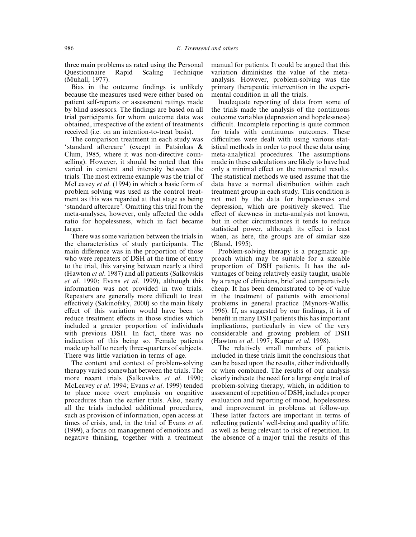three main problems as rated using the Personal<br>Questionnaire Rapid Scaling Technique Rapid Scaling (Muhall, 1977).

Bias in the outcome findings is unlikely because the measures used were either based on patient self-reports or assessment ratings made by blind assessors. The findings are based on all trial participants for whom outcome data was obtained, irrespective of the extent of treatments received (i.e. on an intention-to-treat basis).

The comparison treatment in each study was ' standard aftercare' (except in Patsiokas & Clum, 1985, where it was non-directive counselling). However, it should be noted that this varied in content and intensity between the trials. The most extreme example was the trial of McLeavey *et al*. (1994) in which a basic form of problem solving was used as the control treatment as this was regarded at that stage as being ' standard aftercare'. Omitting this trial from the meta-analyses, however, only affected the odds ratio for hopelessness, which in fact became larger.

There was some variation between the trials in the characteristics of study participants. The main difference was in the proportion of those who were repeaters of DSH at the time of entry to the trial, this varying between nearly a third (Hawton *et al*. 1987) and all patients (Salkovskis *et al*. 1990; Evans *et al*. 1999), although this information was not provided in two trials. Repeaters are generally more difficult to treat effectively (Sakinofsky, 2000) so the main likely effect of this variation would have been to reduce treatment effects in those studies which included a greater proportion of individuals with previous DSH. In fact, there was no indication of this being so. Female patients made up half to nearly three-quarters of subjects. There was little variation in terms of age.

The content and context of problem-solving therapy varied somewhat between the trials. The more recent trials (Salkovskis *et al*. 1990; McLeavey *et al*. 1994; Evans *et al*. 1999) tended to place more overt emphasis on cognitive procedures than the earlier trials. Also, nearly all the trials included additional procedures, such as provision of information, open access at times of crisis, and, in the trial of Evans *et al*. (1999), a focus on management of emotions and negative thinking, together with a treatment manual for patients. It could be argued that this variation diminishes the value of the metaanalysis. However, problem-solving was the primary therapeutic intervention in the experimental condition in all the trials.

Inadequate reporting of data from some of the trials made the analysis of the continuous outcome variables (depression and hopelessness) difficult. Incomplete reporting is quite common for trials with continuous outcomes. These difficulties were dealt with using various statistical methods in order to pool these data using meta-analytical procedures. The assumptions made in these calculations are likely to have had only a minimal effect on the numerical results. The statistical methods we used assume that the data have a normal distribution within each treatment group in each study. This condition is not met by the data for hopelessness and depression, which are positively skewed. The effect of skewness in meta-analysis not known, but in other circumstances it tends to reduce statistical power, although its effect is least when, as here, the groups are of similar size (Bland, 1995).

Problem-solving therapy is a pragmatic approach which may be suitable for a sizeable proportion of DSH patients. It has the advantages of being relatively easily taught, usable by a range of clinicians, brief and comparatively cheap. It has been demonstrated to be of value in the treatment of patients with emotional problems in general practice (Mynors-Wallis, 1996). If, as suggested by our findings, it is of benefit in many DSH patients this has important implications, particularly in view of the very considerable and growing problem of DSH (Hawton *et al*. 1997; Kapur *et al*. 1998).

The relatively small numbers of patients included in these trials limit the conclusions that can be based upon the results, either individually or when combined. The results of our analysis clearly indicate the need for a large single trial of problem-solving therapy, which, in addition to assessment of repetition of DSH, includes proper evaluation and reporting of mood, hopelessness and improvement in problems at follow-up. These latter factors are important in terms of reflecting patients' well-being and quality of life, as well as being relevant to risk of repetition. In the absence of a major trial the results of this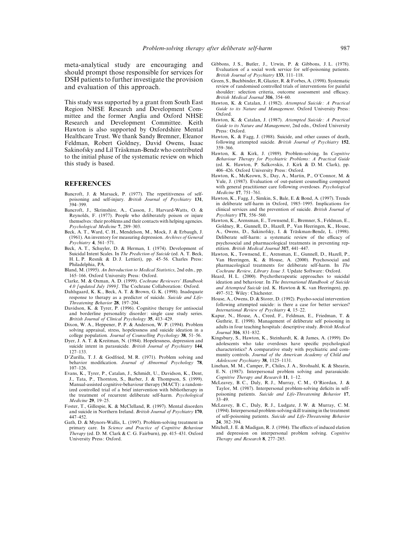meta-analytical study are encouraging and should prompt those responsible for services for DSH patients to further investigate the provision and evaluation of this approach.

This study was supported by a grant from South East Region NHSE Research and Development Committee and the former Anglia and Oxford NHSE Research and Development Committee. Keith Hawton is also supported by Oxfordshire Mental Healthcare Trust. We thank Sandy Bremner, Eleanor Feldman, Robert Goldney, David Owens, Isaac Sakinofsky and Lil Träskman-Bendz who contributed to the initial phase of the systematic review on which this study is based.

#### **REFERENCES**

- Bancroft, J. & Marsack, P. (1977). The repetitiveness of selfpoisoning and self-injury. *British Journal of Psychiatry* **131**, 394–399.
- Bancroft, J., Skrimshire, A., Casson, J., Harvard-Watts, O. & Reynolds, F. (1977). People who deliberately poison or injure themselves: their problems and their contacts with helping agencies. *Psychological Medicine* **7**, 289–303.
- Beck, A. T., Ward, C. H., Mendelson, M., Mock, J. & Erbaugh, J. (1961). An inventory for measuring depression. *Archives of General Psychiatry* **4**, 561–571.
- Beck, A. T., Schuyler, D. & Herman, I. (1974). Development of Suicidal Intent Scales. In *The Prediction of Suicide* (ed. A. T. Beck, H. L. P. Resnik & D. J. Lettieri), pp. 45–56. Charles Press: Philadelphia, PA.
- Bland, M. (1995). *An Introduction to Medical Statistics*, 2nd edn., pp. 165–166. Oxford University Press: Oxford.
- Clarke, M. & Oxman, A. D. (1999). *Cochrane Reviewers' Handbook 4.0 [updated July 1999]*. The Cochrane Collaboration: Oxford.
- Dahlsgaard, K. K., Beck, A. T. & Brown, G. K. (1998). Inadequate response to therapy as a predictor of suicide. *Suicide and Life*-*Threatening Behavior* **28**, 197–204.
- Davidson, K. & Tyrer, P. (1996). Cognitive therapy for antisocial and borderline personality disorder: single case study series. *British Journal of Clinical Psychology* **35**, 413–429.
- Dixon, W. A., Heppener, P. P. & Anderson, W. P. (1994). Problem solving appraisal, stress, hopelessness and suicide ideation in a college population. *Journal of Counselling Psychology* **38**, 51–56.
- Dyer, J. A. T. & Kreitman, N. (1984). Hopelessness, depression and suicide intent in parasuicide. *British Journal of Psychiatry* **144**, 127–133.
- D'Zurilla, T. J. & Godfried, M. R. (1971). Problem solving and behavior modification. *Journal of Abnormal Psychology* **78**, 107–126.
- Evans, K., Tyrer, P., Catalan, J., Schmidt, U., Davidson, K., Dent, J., Tata, P., Thornton, S., Barber, J. & Thompson, S. (1999). Manual-assisted cognitive-behaviour therapy (MACT): a randomized controlled trial of a brief intervention with bibliotherapy in the treatment of recurrent deliberate self-harm. *Psychological Medicine* **29**, 19–25.
- Foster, T., Gillespie, K. & McClelland, R. (1997). Mental disorders and suicide in Northern Ireland. *British Journal of Psychiatry* **170**, 447–452.
- Gath, D. & Mynors-Wallis, L. (1997). Problem-solving treatment in primary care. In *Science and Practice of Cognitive Behaviour Therapy* (ed. D. M. Clark & C. G. Fairburn), pp. 415–431. Oxford University Press: Oxford.
- Gibbons, J. S., Butler, J., Urwin, P. & Gibbons, J. L. (1978). Evaluation of a social work service for self-poisoning patients. *British Journal of Psychiatry* **133**, 111–118.
- Green, S., Buchbinder, R, Glazier, R. & Forbes, A. (1998). Systematic review of randomised controlled trials of interventions for painful shoulder: selection criteria, outcome assessment and efficacy. *British Medical Journal* **316**, 354–60.
- Hawton, K. & Catalan, J. (1982). *Attempted Suicide : A Practical Guide to its Nature and Management*. Oxford University Press: Oxford.
- Hawton, K. & Catalan, J. (1987). *Attempted Suicide : A Practical Guide to its Nature and Management*, 2nd edn., Oxford University Press: Oxford.
- Hawton, K. & Fagg, J. (1988). Suicide, and other causes of death, following attempted suicide. *British Journal of Psychiatry* **152**, 359–366.
- Hawton, K. & Kirk, J. (1989). Problem-solving. In *Cognitive Behaviour Therapy for Psychiatric Problems : A Practical Guide* (ed. K. Hawton, P. Salkovskis, J. Kirk & D. M. Clark), pp. 406–426. Oxford University Press: Oxford.
- Hawton, K., McKeown, S., Day, A., Martin, P., O'Connor, M. & Yule, J. (1987). Evaluation of out-patient counselling compared with general practitioner care following overdoses. *Psychological Medicine* **17**, 751–761.
- Hawton, K., Fagg, J., Simkin, S., Bale, E. & Bond, A. (1997). Trends in deliberate self-harm in Oxford, 1985–1995. Implications for clinical services and the prevention of suicide. *British Journal of Psychiatry* **171**, 556–560.
- Hawton, K., Arensman, E., Townsend, E., Bremner, S., Feldman, E., Goldney, R., Gunnell, D., Hazell, P., Van Heeringen, K., House, A., Owens, D., Sakinofsky, I. & Träskman-Bendz, L. (1998). Deliberate self-harm: a systematic review of the efficacy of psychosocial and pharmacological treatments in preventing repetition. *British Medical Journal* **317**, 441–447.
- Hawton, K., Townsend, E., Arensman, E., Gunnell, D., Hazell, P., Van Heeringen, K. & House, A. (2000). Psychosocial and pharmacological treatments for deliberate self-harm. In *The Cochrane Review, Library Issue 3*. Update Software: Oxford.
- Heard, H. L. (2000). Psychotherapeutic approaches to suicidal ideation and behaviour. In *The International Handbook of Suicide and Attempted Suicide* (ed. K. Hawton & K. van Heeringen), pp. 497–512. Wiley: Chichester.
- House, A., Owens, D. & Storer, D. (1992). Psycho-social intervention following attempted suicide: is there a case for better services? *International Review of Psychiatry* **4**, 15–22.
- Kapur, N., House, A., Creed, F., Feldman, E., Friedman, T. & Guthrie, E. (1998). Management of deliberate self poisoning in adults in four teaching hospitals: descriptive study. *British Medical Journal* **316**, 831–832.
- Kingsbury, S., Hawton, K., Steinhardt, K. & James, A. (1999). Do adolescents who take overdoses have specific psychological characteristics? A comparative study with psychiatric and community controls. *Journal of the American Academy of Child and Adolescent Psychiatry* **38**, 1125–1131.
- Linehan, M. M., Camper, P., Chiles, J. A., Strohsahl, K. & Shearin, E. N. (1987). Interpersonal problem solving and parasuicide. *Cognitive Therapy and Research* **11**, 1–12.
- McLeavey, B. C., Daly, R. J., Murray, C. M., O'Riordan, J. & Taylor, M. (1987). Interpersonal problem-solving deficits in selfpoisoning patients. *Suicide and Life*-*Threatening Behavior* **17**, 33–49.
- McLeavey, B. C., Daly, R. J., Ludgate, J. W. & Murray, C. M. (1994). Interpersonal problem-solving skill training in the treatment of self-poisoning patients. *Suicide and Life*-*Threatening Behavior* **24**, 382–394.
- Mitchell, J. E. & Madigan, R. J. (1984). The effects of induced elation and depression on interpersonal problem solving. *Cognitive Therapy and Research* **8**, 277–285.